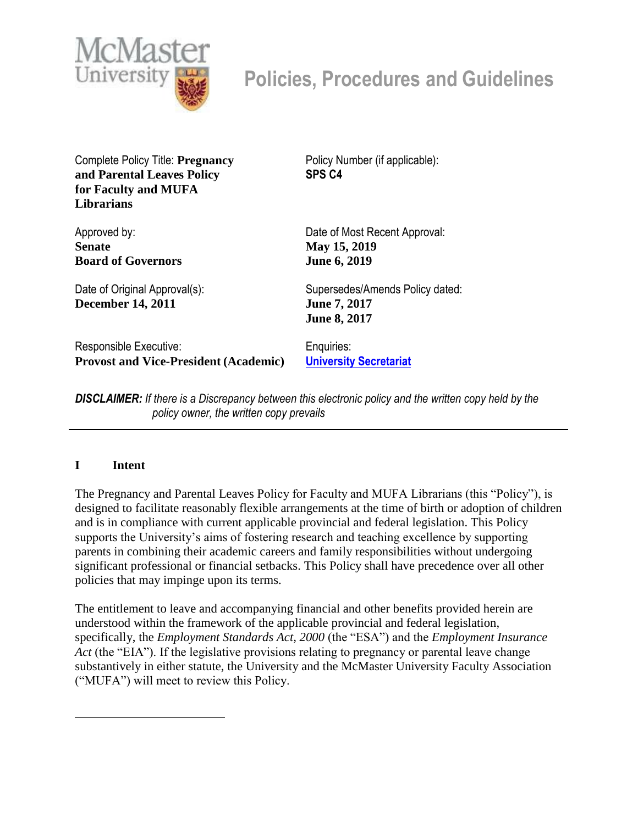

# **Policies, Procedures and Guidelines**

Complete Policy Title: **Pregnancy and Parental Leaves Policy for Faculty and MUFA Librarians**

Policy Number (if applicable): **SPS C4**

**Board of Governors** Date of Original Approval(s): **December 14, 2011** Date of Most Recent Approval:

Responsible Executive: **Provost and Vice-President (Academic)**

**May 15, 2019 June 6, 2019**

Supersedes/Amends Policy dated: **June 7, 2017 June 8, 2017**

Enquiries: **[University Secretariat](mailto:policy@mcmaster.ca)**

*DISCLAIMER: If there is a Discrepancy between this electronic policy and the written copy held by the policy owner, the written copy prevails*

## **I Intent**

Approved by: **Senate**

The Pregnancy and Parental Leaves Policy for Faculty and MUFA Librarians (this "Policy"), is designed to facilitate reasonably flexible arrangements at the time of birth or adoption of children and is in compliance with current applicable provincial and federal legislation. This Policy supports the University's aims of fostering research and teaching excellence by supporting parents in combining their academic careers and family responsibilities without undergoing significant professional or financial setbacks. This Policy shall have precedence over all other policies that may impinge upon its terms.

The entitlement to leave and accompanying financial and other benefits provided herein are understood within the framework of the applicable provincial and federal legislation, specifically, the *Employment Standards Act, 2000* (the "ESA") and the *Employment Insurance Act* (the "EIA"). If the legislative provisions relating to pregnancy or parental leave change substantively in either statute, the University and the McMaster University Faculty Association ("MUFA") will meet to review this Policy.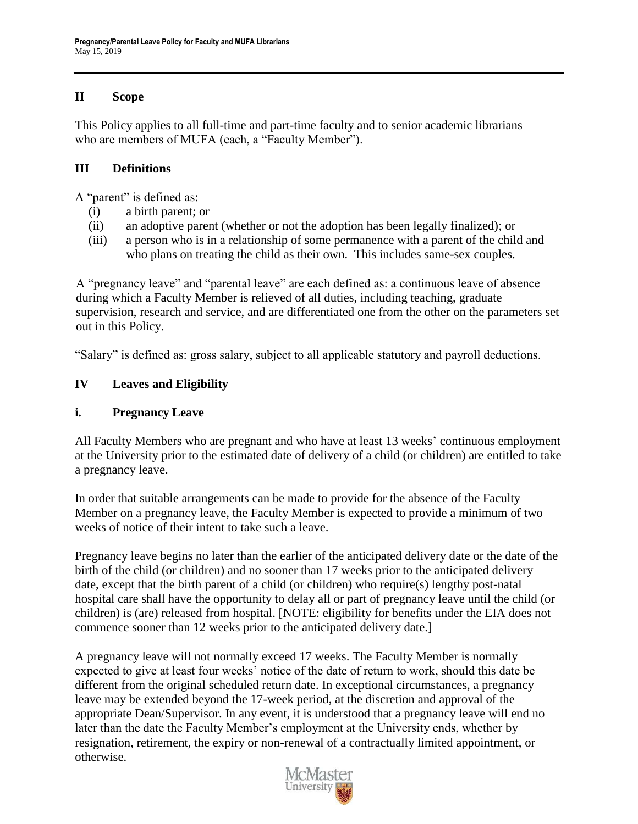## **II Scope**

This Policy applies to all full-time and part-time faculty and to senior academic librarians who are members of MUFA (each, a "Faculty Member").

## **III Definitions**

A "parent" is defined as:

- (i) a birth parent; or
- (ii) an adoptive parent (whether or not the adoption has been legally finalized); or
- (iii) a person who is in a relationship of some permanence with a parent of the child and who plans on treating the child as their own. This includes same-sex couples.

A "pregnancy leave" and "parental leave" are each defined as: a continuous leave of absence during which a Faculty Member is relieved of all duties, including teaching, graduate supervision, research and service, and are differentiated one from the other on the parameters set out in this Policy.

"Salary" is defined as: gross salary, subject to all applicable statutory and payroll deductions.

# **IV Leaves and Eligibility**

## **i. Pregnancy Leave**

All Faculty Members who are pregnant and who have at least 13 weeks' continuous employment at the University prior to the estimated date of delivery of a child (or children) are entitled to take a pregnancy leave.

In order that suitable arrangements can be made to provide for the absence of the Faculty Member on a pregnancy leave, the Faculty Member is expected to provide a minimum of two weeks of notice of their intent to take such a leave.

Pregnancy leave begins no later than the earlier of the anticipated delivery date or the date of the birth of the child (or children) and no sooner than 17 weeks prior to the anticipated delivery date, except that the birth parent of a child (or children) who require(s) lengthy post-natal hospital care shall have the opportunity to delay all or part of pregnancy leave until the child (or children) is (are) released from hospital. [NOTE: eligibility for benefits under the EIA does not commence sooner than 12 weeks prior to the anticipated delivery date.]

A pregnancy leave will not normally exceed 17 weeks. The Faculty Member is normally expected to give at least four weeks' notice of the date of return to work, should this date be different from the original scheduled return date. In exceptional circumstances, a pregnancy leave may be extended beyond the 17-week period, at the discretion and approval of the appropriate Dean/Supervisor. In any event, it is understood that a pregnancy leave will end no later than the date the Faculty Member's employment at the University ends, whether by resignation, retirement, the expiry or non-renewal of a contractually limited appointment, or otherwise.

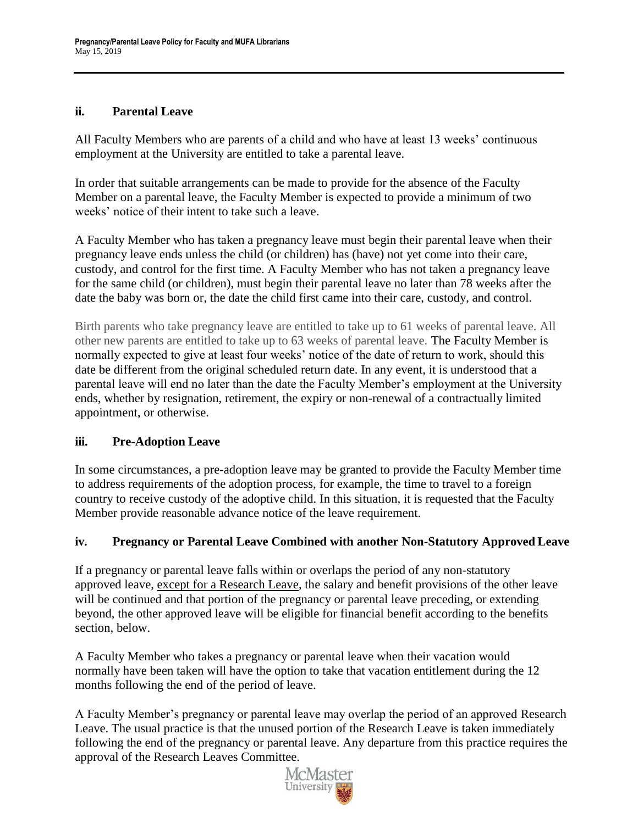## **ii. Parental Leave**

All Faculty Members who are parents of a child and who have at least 13 weeks' continuous employment at the University are entitled to take a parental leave.

In order that suitable arrangements can be made to provide for the absence of the Faculty Member on a parental leave, the Faculty Member is expected to provide a minimum of two weeks' notice of their intent to take such a leave.

A Faculty Member who has taken a pregnancy leave must begin their parental leave when their pregnancy leave ends unless the child (or children) has (have) not yet come into their care, custody, and control for the first time. A Faculty Member who has not taken a pregnancy leave for the same child (or children), must begin their parental leave no later than 78 weeks after the date the baby was born or, the date the child first came into their care, custody, and control.

Birth parents who take pregnancy leave are entitled to take up to 61 weeks of parental leave. All other new parents are entitled to take up to 63 weeks of parental leave. The Faculty Member is normally expected to give at least four weeks' notice of the date of return to work, should this date be different from the original scheduled return date. In any event, it is understood that a parental leave will end no later than the date the Faculty Member's employment at the University ends, whether by resignation, retirement, the expiry or non-renewal of a contractually limited appointment, or otherwise.

# **iii. Pre-Adoption Leave**

In some circumstances, a pre-adoption leave may be granted to provide the Faculty Member time to address requirements of the adoption process, for example, the time to travel to a foreign country to receive custody of the adoptive child. In this situation, it is requested that the Faculty Member provide reasonable advance notice of the leave requirement.

## **iv. Pregnancy or Parental Leave Combined with another Non-Statutory Approved Leave**

If a pregnancy or parental leave falls within or overlaps the period of any non-statutory approved leave, except for a Research Leave, the salary and benefit provisions of the other leave will be continued and that portion of the pregnancy or parental leave preceding, or extending beyond, the other approved leave will be eligible for financial benefit according to the benefits section, below.

A Faculty Member who takes a pregnancy or parental leave when their vacation would normally have been taken will have the option to take that vacation entitlement during the 12 months following the end of the period of leave.

A Faculty Member's pregnancy or parental leave may overlap the period of an approved Research Leave. The usual practice is that the unused portion of the Research Leave is taken immediately following the end of the pregnancy or parental leave. Any departure from this practice requires the approval of the Research Leaves Committee.

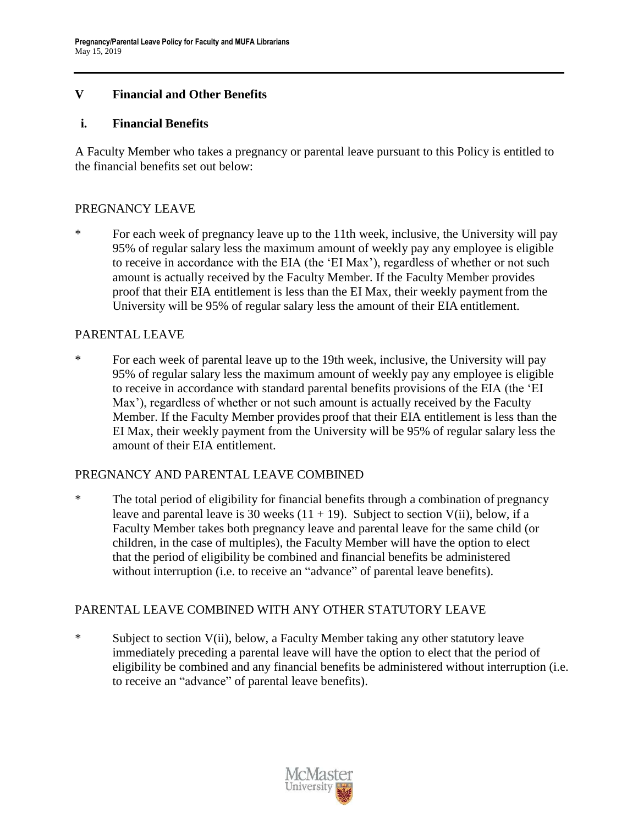## **V Financial and Other Benefits**

#### **i. Financial Benefits**

A Faculty Member who takes a pregnancy or parental leave pursuant to this Policy is entitled to the financial benefits set out below:

## PREGNANCY LEAVE

\* For each week of pregnancy leave up to the 11th week, inclusive, the University will pay 95% of regular salary less the maximum amount of weekly pay any employee is eligible to receive in accordance with the EIA (the 'EI Max'), regardless of whether or not such amount is actually received by the Faculty Member. If the Faculty Member provides proof that their EIA entitlement is less than the EI Max, their weekly payment from the University will be 95% of regular salary less the amount of their EIA entitlement.

## PARENTAL LEAVE

\* For each week of parental leave up to the 19th week, inclusive, the University will pay 95% of regular salary less the maximum amount of weekly pay any employee is eligible to receive in accordance with standard parental benefits provisions of the EIA (the 'EI Max'), regardless of whether or not such amount is actually received by the Faculty Member. If the Faculty Member provides proof that their EIA entitlement is less than the EI Max, their weekly payment from the University will be 95% of regular salary less the amount of their EIA entitlement.

## PREGNANCY AND PARENTAL LEAVE COMBINED

\* The total period of eligibility for financial benefits through a combination of pregnancy leave and parental leave is 30 weeks  $(11 + 19)$ . Subject to section V(ii), below, if a Faculty Member takes both pregnancy leave and parental leave for the same child (or children, in the case of multiples), the Faculty Member will have the option to elect that the period of eligibility be combined and financial benefits be administered without interruption (i.e. to receive an "advance" of parental leave benefits).

## PARENTAL LEAVE COMBINED WITH ANY OTHER STATUTORY LEAVE

\* Subject to section V(ii), below, a Faculty Member taking any other statutory leave immediately preceding a parental leave will have the option to elect that the period of eligibility be combined and any financial benefits be administered without interruption (i.e. to receive an "advance" of parental leave benefits).

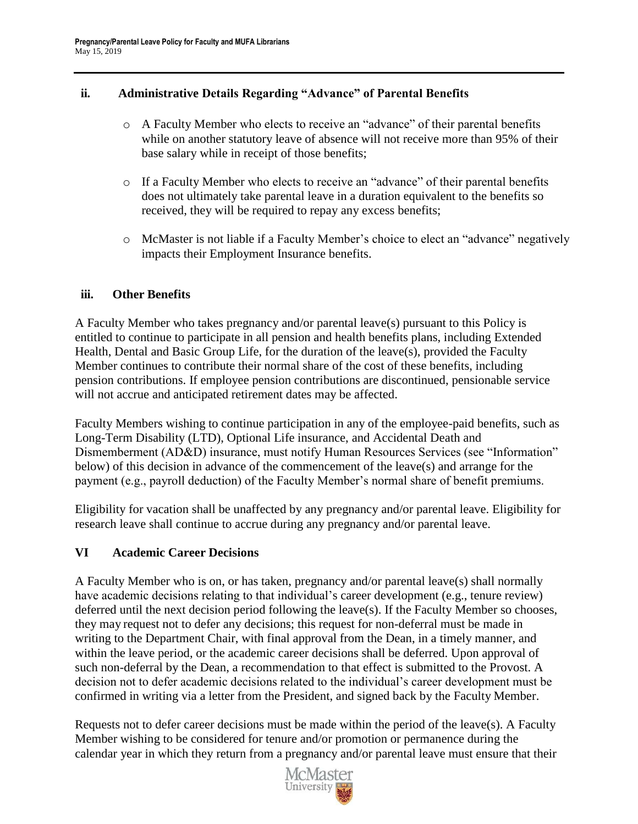## **ii. Administrative Details Regarding "Advance" of Parental Benefits**

- o A Faculty Member who elects to receive an "advance" of their parental benefits while on another statutory leave of absence will not receive more than 95% of their base salary while in receipt of those benefits;
- o If a Faculty Member who elects to receive an "advance" of their parental benefits does not ultimately take parental leave in a duration equivalent to the benefits so received, they will be required to repay any excess benefits;
- o McMaster is not liable if a Faculty Member's choice to elect an "advance" negatively impacts their Employment Insurance benefits.

## **iii. Other Benefits**

A Faculty Member who takes pregnancy and/or parental leave(s) pursuant to this Policy is entitled to continue to participate in all pension and health benefits plans, including Extended Health, Dental and Basic Group Life, for the duration of the leave(s), provided the Faculty Member continues to contribute their normal share of the cost of these benefits, including pension contributions. If employee pension contributions are discontinued, pensionable service will not accrue and anticipated retirement dates may be affected.

Faculty Members wishing to continue participation in any of the employee-paid benefits, such as Long-Term Disability (LTD), Optional Life insurance, and Accidental Death and Dismemberment (AD&D) insurance, must notify Human Resources Services (see "Information" below) of this decision in advance of the commencement of the leave(s) and arrange for the payment (e.g., payroll deduction) of the Faculty Member's normal share of benefit premiums.

Eligibility for vacation shall be unaffected by any pregnancy and/or parental leave. Eligibility for research leave shall continue to accrue during any pregnancy and/or parental leave.

# **VI Academic Career Decisions**

A Faculty Member who is on, or has taken, pregnancy and/or parental leave(s) shall normally have academic decisions relating to that individual's career development (e.g., tenure review) deferred until the next decision period following the leave(s). If the Faculty Member so chooses, they may request not to defer any decisions; this request for non-deferral must be made in writing to the Department Chair, with final approval from the Dean, in a timely manner, and within the leave period, or the academic career decisions shall be deferred. Upon approval of such non-deferral by the Dean, a recommendation to that effect is submitted to the Provost. A decision not to defer academic decisions related to the individual's career development must be confirmed in writing via a letter from the President, and signed back by the Faculty Member.

Requests not to defer career decisions must be made within the period of the leave(s). A Faculty Member wishing to be considered for tenure and/or promotion or permanence during the calendar year in which they return from a pregnancy and/or parental leave must ensure that their